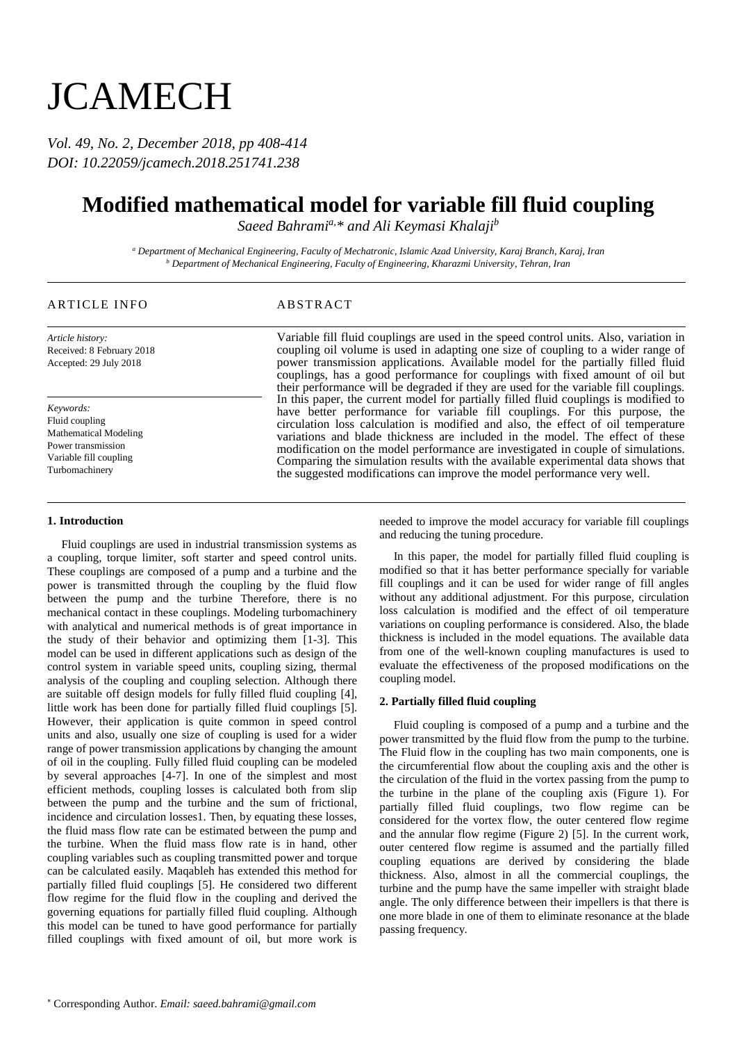# **JCAMECH**

*Vol. 49, No. 2, December 2018, pp 408-414 DOI: 10.22059/jcamech.2018.251741.238*

## **Modified mathematical model for variable fill fluid coupling**

*Saeed Bahramia,\* and Ali Keymasi Khalaji<sup>b</sup>*

*<sup>a</sup> Department of Mechanical Engineering, Faculty of Mechatronic, Islamic Azad University, Karaj Branch, Karaj, Iran <sup>b</sup> Department of Mechanical Engineering, Faculty of Engineering, Kharazmi University, Tehran, Iran*

### ARTICLE INFO ABSTRACT

*Article history:* Received: 8 February 2018 Accepted: 29 July 2018

*Keywords:* Fluid coupling Mathematical Modeling Power transmission Variable fill coupling Turbomachinery

#### **1. Introduction**

Fluid couplings are used in industrial transmission systems as a coupling, torque limiter, soft starter and speed control units. These couplings are composed of a pump and a turbine and the power is transmitted through the coupling by the fluid flow between the pump and the turbine Therefore, there is no mechanical contact in these couplings. Modeling turbomachinery with analytical and numerical methods is of great importance in the study of their behavior and optimizing them [1-3]. This model can be used in different applications such as design of the control system in variable speed units, coupling sizing, thermal analysis of the coupling and coupling selection. Although there are suitable off design models for fully filled fluid coupling [4], little work has been done for partially filled fluid couplings [5]. However, their application is quite common in speed control units and also, usually one size of coupling is used for a wider range of power transmission applications by changing the amount of oil in the coupling. Fully filled fluid coupling can be modeled by several approaches [4-7]. In one of the simplest and most efficient methods, coupling losses is calculated both from slip between the pump and the turbine and the sum of frictional, incidence and circulation losses1. Then, by equating these losses, the fluid mass flow rate can be estimated between the pump and the turbine. When the fluid mass flow rate is in hand, other coupling variables such as coupling transmitted power and torque can be calculated easily. Maqableh has extended this method for partially filled fluid couplings [5]. He considered two different flow regime for the fluid flow in the coupling and derived the governing equations for partially filled fluid coupling. Although this model can be tuned to have good performance for partially filled couplings with fixed amount of oil, but more work is

Variable fill fluid couplings are used in the speed control units. Also, variation in coupling oil volume is used in adapting one size of coupling to a wider range of power transmission applications. Available model for the partially filled fluid couplings, has a good performance for couplings with fixed amount of oil but their performance will be degraded if they are used for the variable fill couplings. In this paper, the current model for partially filled fluid couplings is modified to have better performance for variable fill couplings. For this purpose, the circulation loss calculation is modified and also, the effect of oil temperature variations and blade thickness are included in the model. The effect of these modification on the model performance are investigated in couple of simulations. Comparing the simulation results with the available experimental data shows that the suggested modifications can improve the model performance very well.

> needed to improve the model accuracy for variable fill couplings and reducing the tuning procedure.

> In this paper, the model for partially filled fluid coupling is modified so that it has better performance specially for variable fill couplings and it can be used for wider range of fill angles without any additional adjustment. For this purpose, circulation loss calculation is modified and the effect of oil temperature variations on coupling performance is considered. Also, the blade thickness is included in the model equations. The available data from one of the well-known coupling manufactures is used to evaluate the effectiveness of the proposed modifications on the coupling model.

#### **2. Partially filled fluid coupling**

Fluid coupling is composed of a pump and a turbine and the power transmitted by the fluid flow from the pump to the turbine. The Fluid flow in the coupling has two main components, one is the circumferential flow about the coupling axis and the other is the circulation of the fluid in the vortex passing from the pump to the turbine in the plane of the coupling axis (Figure 1). For partially filled fluid couplings, two flow regime can be considered for the vortex flow, the outer centered flow regime and the annular flow regime (Figure 2) [5]. In the current work, outer centered flow regime is assumed and the partially filled coupling equations are derived by considering the blade thickness. Also, almost in all the commercial couplings, the turbine and the pump have the same impeller with straight blade angle. The only difference between their impellers is that there is one more blade in one of them to eliminate resonance at the blade passing frequency.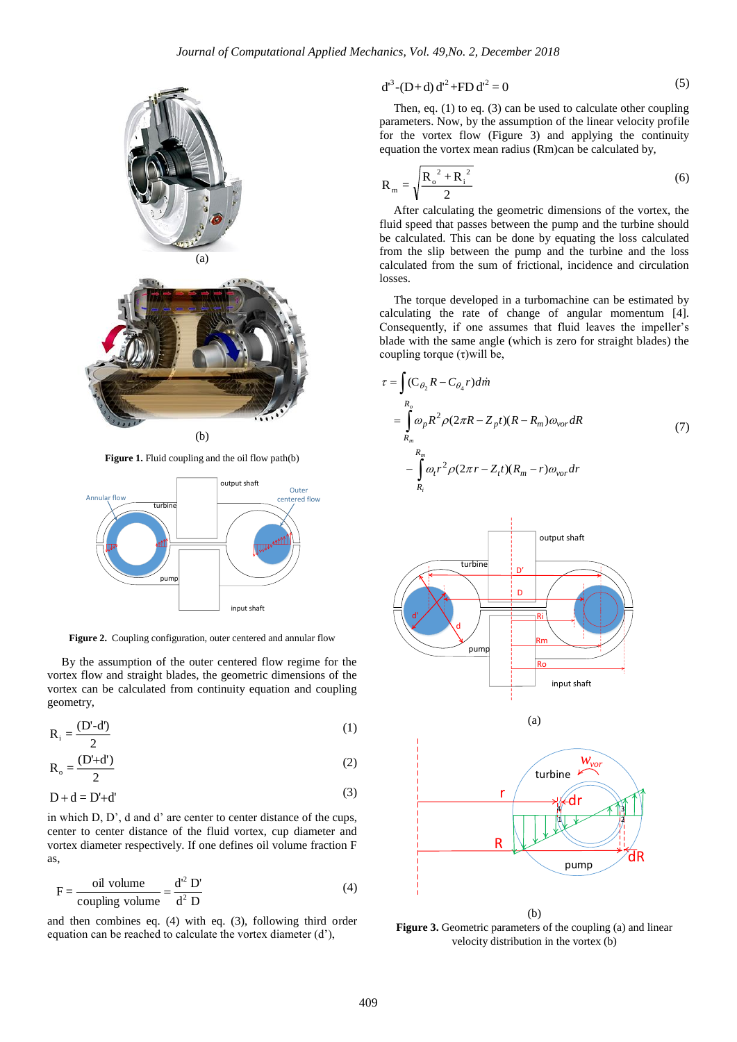

**Figure 1.** Fluid coupling and the oil flow path(b)



**Figure 2.** Coupling configuration, outer centered and annular flow

By the assumption of the outer centered flow regime for the vortex flow and straight blades, the geometric dimensions of the vortex can be calculated from continuity equation and coupling geometry,

$$
R_i = \frac{(D'-d')}{2} \tag{1}
$$

$$
R_o = \frac{(D'+d')}{2} \tag{2}
$$

$$
D + d = D' + d'
$$
 (3)

in which D, D', d and d' are center to center distance of the cups, center to center distance of the fluid vortex, cup diameter and vortex diameter respectively. If one defines oil volume fraction F as,

$$
F = \frac{\text{oil volume}}{\text{coupling volume}} = \frac{d^{2} D'}{d^{2} D}
$$
 (4)

and then combines eq. (4) with eq. (3), following third order equation can be reached to calculate the vortex diameter (d'),

$$
d^{3}-(D+d) d^{2}+FD d^{2}=0
$$
 (5)

Then, eq. (1) to eq. (3) can be used to calculate other coupling parameters. Now, by the assumption of the linear velocity profile for the vortex flow (Figure 3) and applying the continuity equation the vortex mean radius (Rm)can be calculated by,

$$
R_{m} = \sqrt{\frac{R_{o}^{2} + R_{i}^{2}}{2}}
$$
 (6)

After calculating the geometric dimensions of the vortex, the fluid speed that passes between the pump and the turbine should be calculated. This can be done by equating the loss calculated from the slip between the pump and the turbine and the loss calculated from the sum of frictional, incidence and circulation losses.

The torque developed in a turbomachine can be estimated by calculating the rate of change of angular momentum [4]. Consequently, if one assumes that fluid leaves the impeller's blade with the same angle (which is zero for straight blades) the coupling torque  $(τ)$ will be,

$$
\tau = \int_{R_o} (C_{\theta_2} R - C_{\theta_4} r) dm
$$
  
\n
$$
= \int_{R_m} R_o \rho P^2 \rho (2\pi R - Z_p t) (R - R_m) \omega_{vor} dR
$$
  
\n
$$
- \int_{R_n} R_m \rho t^2 \rho (2\pi r - Z_t t) (R_m - r) \omega_{vor} dr
$$
\n(7)



Figure 3. Geometric parameters of the coupling (a) and linear velocity distribution in the vortex (b)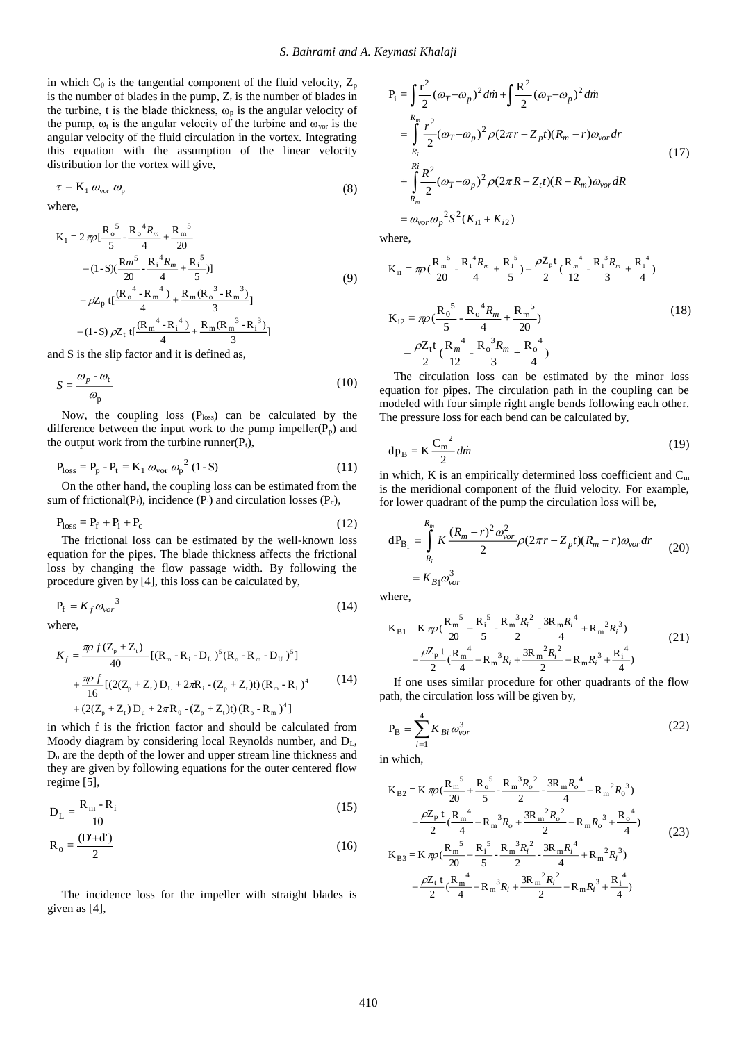in which  $C_{\theta}$  is the tangential component of the fluid velocity,  $Z_{p}$ is the number of blades in the pump,  $Z_t$  is the number of blades in the turbine, t is the blade thickness,  $\omega_p$  is the angular velocity of the pump,  $\omega_t$  is the angular velocity of the turbine and  $\omega_{\text{vor}}$  is the angular velocity of the fluid circulation in the vortex. Integrating this equation with the assumption of the linear velocity distribution for the vortex will give,

$$
\tau = \mathbf{K}_1 \, \omega_{\text{vor}} \, \omega_{\text{p}} \tag{8}
$$

where,

$$
K_{1} = 2 \pi \rho \left[\frac{R_{o}^{5}}{5} - \frac{R_{o}^{4} R_{m}}{4} + \frac{R_{m}^{5}}{20}\right] - (1 - S)(\frac{Rm^{5}}{20} - \frac{R_{1}^{4} R_{m}}{4} + \frac{R_{1}^{5}}{5})]
$$
  
-  $\rho Z_{p} t \left[\frac{(R_{o}^{4} - R_{m}^{4})}{4} + \frac{R_{m} (R_{o}^{3} - R_{m}^{3})}{3}\right] - (1 - S) \rho Z_{t} t \left[\frac{(R_{m}^{4} - R_{1}^{4})}{4} + \frac{R_{m} (R_{m}^{3} - R_{1}^{3})}{3}\right]$  (9)

and S is the slip factor and it is defined as,

$$
S = \frac{\omega_p - \omega_t}{\omega_p} \tag{10}
$$

Now, the coupling loss  $(P_{loss})$  can be calculated by the difference between the input work to the pump impeller( $P_p$ ) and the output work from the turbine runner $(P_t)$ ,

$$
P_{\text{loss}} = P_p - P_t = K_1 \omega_{\text{vor}} \omega_p^2 (1 - S) \tag{11}
$$

On the other hand, the coupling loss can be estimated from the sum of frictional( $P_f$ ), incidence ( $P_i$ ) and circulation losses ( $P_c$ ),

$$
P_{loss} = P_f + P_i + P_c \tag{12}
$$

The frictional loss can be estimated by the well-known loss equation for the pipes. The blade thickness affects the frictional loss by changing the flow passage width. By following the procedure given by [4], this loss can be calculated by,

$$
P_f = K_f \omega_{\text{vor}}^3 \tag{14}
$$

where,

$$
K_{f} = \frac{\pi \rho f (Z_{p} + Z_{t})}{40} [(R_{m} - R_{i} - D_{L})^{5} (R_{o} - R_{m} - D_{U})^{5}]
$$
  
+ 
$$
\frac{\pi \rho f}{16} [(2(Z_{p} + Z_{t}) D_{L} + 2\pi R_{i} - (Z_{p} + Z_{t})t) (R_{m} - R_{i})^{4}]
$$
  
+ 
$$
(2(Z_{p} + Z_{t}) D_{u} + 2\pi R_{o} - (Z_{p} + Z_{t})t) (R_{o} - R_{m})^{4}]
$$
 (14)

in which f is the friction factor and should be calculated from Moody diagram by considering local Reynolds number, and DL, D<sup>u</sup> are the depth of the lower and upper stream line thickness and they are given by following equations for the outer centered flow regime [5],

$$
D_{L} = \frac{R_{m} - R_{i}}{10}
$$
 (15)

$$
R_o = \frac{(D'+d')}{2} \tag{16}
$$

The incidence loss for the impeller with straight blades is given as [4],

$$
P_{i} = \int_{R_{i}}^{R_{i}} \frac{r^{2}}{2} (\omega_{T} - \omega_{p})^{2} d\dot{m} + \int_{R_{i}}^{R_{i}} (\omega_{T} - \omega_{p})^{2} d\dot{m}
$$
  
\n
$$
= \int_{R_{i}}^{R_{m}} \frac{r^{2}}{2} (\omega_{T} - \omega_{p})^{2} \rho (2\pi r - Z_{p} t) (R_{m} - r) \omega_{vor} dr
$$
  
\n
$$
+ \int_{R_{m}}^{R_{i}} \frac{R^{2}}{2} (\omega_{T} - \omega_{p})^{2} \rho (2\pi R - Z_{t} t) (R - R_{m}) \omega_{vor} dR
$$
  
\n
$$
= \omega_{vor} \omega_{p}^{2} S^{2} (K_{i1} + K_{i2})
$$
 (17)

where,

$$
K_{i1} = \pi \rho \left(\frac{R_{m}^{5}}{20} - \frac{R_{i}^{4}R_{m}}{4} + \frac{R_{i}^{5}}{5}\right) - \frac{\rho Z_{p}t}{2} \left(\frac{R_{m}^{4}}{12} - \frac{R_{i}^{3}R_{m}}{3} + \frac{R_{i}^{4}}{4}\right)
$$
\n
$$
K_{i2} = \pi \rho \left(\frac{R_{0}^{5}}{5} - \frac{R_{0}^{4}R_{m}}{4} + \frac{R_{m}^{5}}{20}\right)
$$
\n
$$
-\frac{\rho Z_{t}t}{2} \left(\frac{R_{m}^{4}}{12} - \frac{R_{0}^{3}R_{m}}{3} + \frac{R_{0}^{4}}{4}\right)
$$
\n(18)

The circulation loss can be estimated by the minor loss equation for pipes. The circulation path in the coupling can be modeled with four simple right angle bends following each other. The pressure loss for each bend can be calculated by,

$$
dp_B = K \frac{C_m^2}{2} \, \text{d}\dot{m} \tag{19}
$$

in which, K is an empirically determined loss coefficient and  $C_m$ is the meridional component of the fluid velocity. For example, for lower quadrant of the pump the circulation loss will be,

$$
dP_{B_1} = \int_{R_i}^{R_m} K \frac{(R_m - r)^2 \omega_{vor}^2}{2} \rho (2\pi r - Z_p t)(R_m - r) \omega_{vor} dr
$$
  
=  $K_{B1} \omega_{vor}^3$  (20)

where,

$$
K_{B1} = K \pi \rho \left(\frac{R_{m}^{5}}{20} + \frac{R_{i}^{5}}{5} - \frac{R_{m}^{3}R_{i}^{2}}{2} - \frac{3R_{m}R_{i}^{4}}{4} + R_{m}^{2}R_{i}^{3}\right) - \frac{\rho Z_{p} t}{2} \left(\frac{R_{m}^{4}}{4} - R_{m}^{3}R_{i} + \frac{3R_{m}^{2}R_{i}^{2}}{2} - R_{m}R_{i}^{3} + \frac{R_{i}^{4}}{4}\right)
$$
(21)

If one uses similar procedure for other quadrants of the flow path, the circulation loss will be given by,

$$
P_{B} = \sum_{i=1}^{4} K_{Bi} \omega_{vor}^{3}
$$
 (22)

in which,

$$
K_{B2} = K \pi \rho \left(\frac{R_m^5}{20} + \frac{R_o^5}{5} - \frac{R_m^3 R_o^2}{2} - \frac{3R_m R_o^4}{4} + R_m^2 R_o^3\right)
$$
  

$$
- \frac{\rho Z_p t}{2} \left(\frac{R_m^4}{4} - R_m^3 R_o + \frac{3R_m^2 R_o^2}{2} - R_m R_o^3 + \frac{R_o^4}{4}\right)
$$
  

$$
K_{B3} = K \pi \rho \left(\frac{R_m^5}{20} + \frac{R_i^5}{5} - \frac{R_m^3 R_i^2}{2} - \frac{3R_m R_i^4}{4} + R_m^2 R_i^3\right)
$$
  

$$
- \frac{\rho Z_t t}{2} \left(\frac{R_m^4}{4} - R_m^3 R_i + \frac{3R_m^2 R_i^2}{2} - R_m R_i^3 + \frac{R_i^4}{4}\right)
$$
 (23)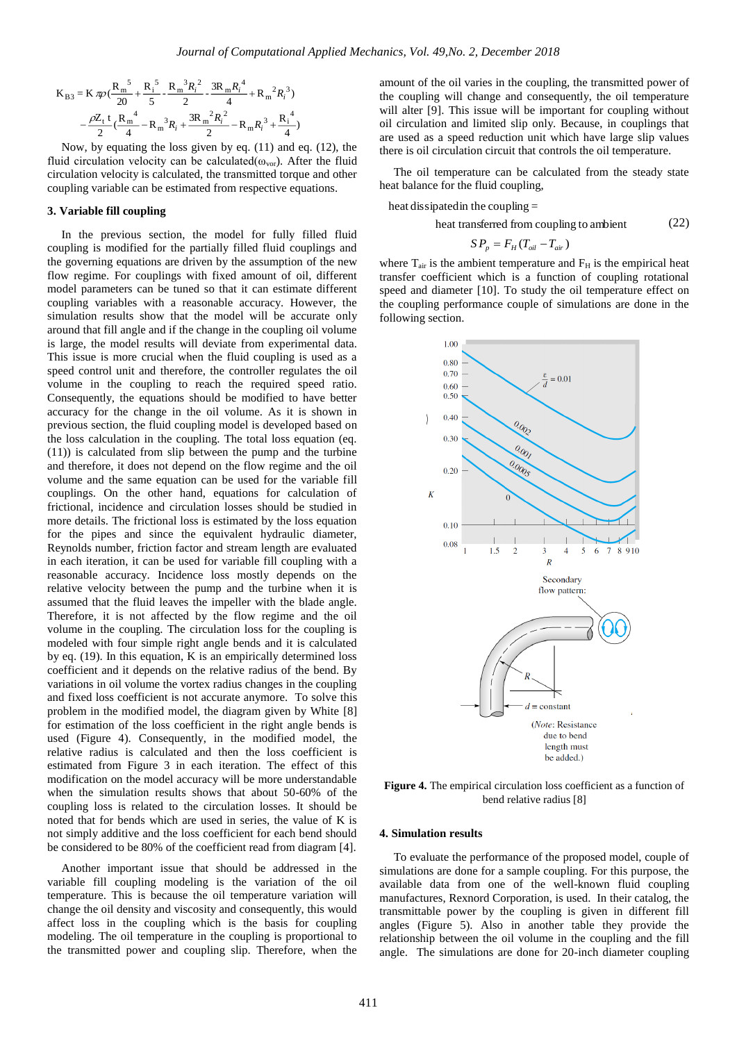$$
K_{B3} = K \pi p \left( \frac{R_m^5}{20} + \frac{R_i^5}{5} - \frac{R_m^3 R_i^2}{2} - \frac{3R_m R_i^4}{4} + R_m^2 R_i^3 \right)
$$

$$
- \frac{\rho Z_t}{2} \left( \frac{R_m^4}{4} - R_m^3 R_i + \frac{3R_m^2 R_i^2}{2} - R_m R_i^3 + \frac{R_i^4}{4} \right)
$$

Now, by equating the loss given by eq. (11) and eq. (12), the fluid circulation velocity can be calculated( $\omega_{\text{vor}}$ ). After the fluid circulation velocity is calculated, the transmitted torque and other coupling variable can be estimated from respective equations.

#### **3. Variable fill coupling**

In the previous section, the model for fully filled fluid coupling is modified for the partially filled fluid couplings and the governing equations are driven by the assumption of the new flow regime. For couplings with fixed amount of oil, different model parameters can be tuned so that it can estimate different coupling variables with a reasonable accuracy. However, the simulation results show that the model will be accurate only around that fill angle and if the change in the coupling oil volume is large, the model results will deviate from experimental data. This issue is more crucial when the fluid coupling is used as a speed control unit and therefore, the controller regulates the oil volume in the coupling to reach the required speed ratio. Consequently, the equations should be modified to have better accuracy for the change in the oil volume. As it is shown in previous section, the fluid coupling model is developed based on the loss calculation in the coupling. The total loss equation (eq. (11)) is calculated from slip between the pump and the turbine and therefore, it does not depend on the flow regime and the oil volume and the same equation can be used for the variable fill couplings. On the other hand, equations for calculation of frictional, incidence and circulation losses should be studied in more details. The frictional loss is estimated by the loss equation for the pipes and since the equivalent hydraulic diameter, Reynolds number, friction factor and stream length are evaluated in each iteration, it can be used for variable fill coupling with a reasonable accuracy. Incidence loss mostly depends on the relative velocity between the pump and the turbine when it is assumed that the fluid leaves the impeller with the blade angle. Therefore, it is not affected by the flow regime and the oil volume in the coupling. The circulation loss for the coupling is modeled with four simple right angle bends and it is calculated by eq.  $(19)$ . In this equation, K is an empirically determined loss coefficient and it depends on the relative radius of the bend. By variations in oil volume the vortex radius changes in the coupling and fixed loss coefficient is not accurate anymore. To solve this problem in the modified model, the diagram given by White [8] for estimation of the loss coefficient in the right angle bends is used (Figure 4). Consequently, in the modified model, the relative radius is calculated and then the loss coefficient is estimated from Figure 3 in each iteration. The effect of this modification on the model accuracy will be more understandable when the simulation results shows that about 50-60% of the coupling loss is related to the circulation losses. It should be noted that for bends which are used in series, the value of K is not simply additive and the loss coefficient for each bend should be considered to be 80% of the coefficient read from diagram [4].

Another important issue that should be addressed in the variable fill coupling modeling is the variation of the oil temperature. This is because the oil temperature variation will change the oil density and viscosity and consequently, this would affect loss in the coupling which is the basis for coupling modeling. The oil temperature in the coupling is proportional to the transmitted power and coupling slip. Therefore, when the

amount of the oil varies in the coupling, the transmitted power of the coupling will change and consequently, the oil temperature will alter [9]. This issue will be important for coupling without oil circulation and limited slip only. Because, in couplings that are used as a speed reduction unit which have large slip values there is oil circulation circuit that controls the oil temperature.

The oil temperature can be calculated from the steady state heat balance for the fluid coupling,

heat dissipatedin the coupling <sup>=</sup>

heat transferred from coupling to ambient (22)

$$
SP_p = F_H (T_{oil} - T_{air})
$$

where  $T_{air}$  is the ambient temperature and  $F_H$  is the empirical heat transfer coefficient which is a function of coupling rotational speed and diameter [10]. To study the oil temperature effect on the coupling performance couple of simulations are done in the following section.



**Figure 4.** The empirical circulation loss coefficient as a function of bend relative radius [8]

#### **4. Simulation results**

To evaluate the performance of the proposed model, couple of simulations are done for a sample coupling. For this purpose, the available data from one of the well-known fluid coupling manufactures, Rexnord Corporation, is used. In their catalog, the transmittable power by the coupling is given in different fill angles (Figure 5). Also in another table they provide the relationship between the oil volume in the coupling and the fill angle. The simulations are done for 20-inch diameter coupling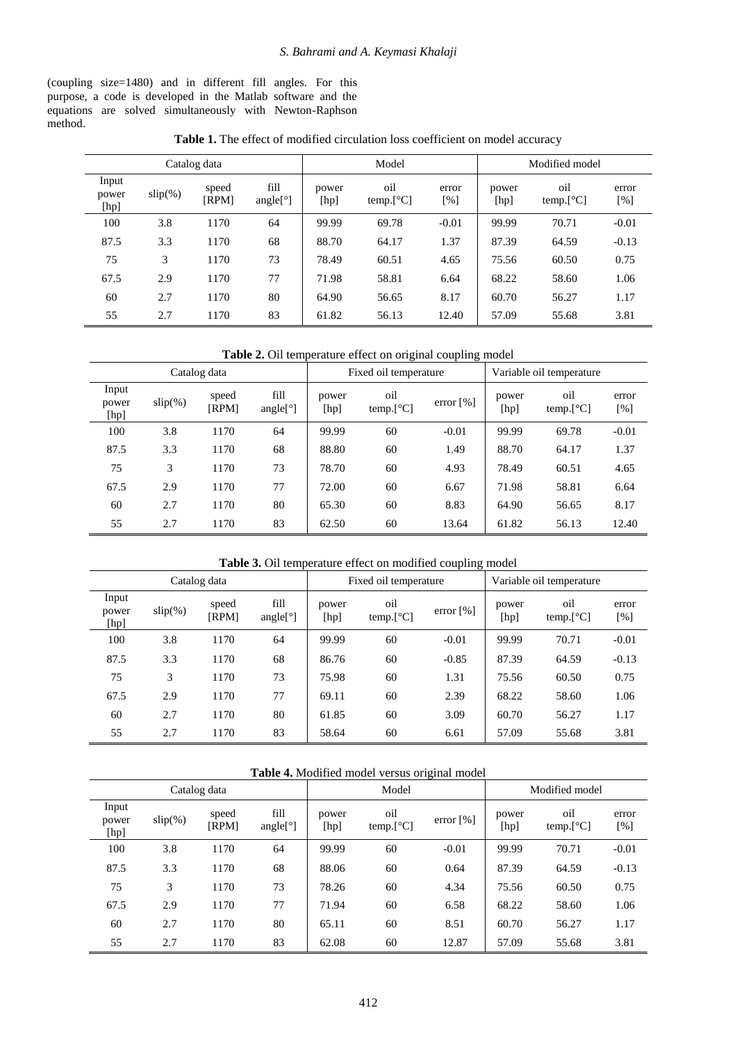(coupling size=1480) and in different fill angles. For this purpose, a code is developed in the Matlab software and the equations are solved simultaneously with Newton-Raphson method.

| Table 1. The effect of modified circulation loss coefficient on model accuracy |  |
|--------------------------------------------------------------------------------|--|
|--------------------------------------------------------------------------------|--|

| Catalog data           |            |                |                                              | Model         |                  |                             | Modified model |                                          |              |
|------------------------|------------|----------------|----------------------------------------------|---------------|------------------|-----------------------------|----------------|------------------------------------------|--------------|
| Input<br>power<br>[hp] | $slip(\%)$ | speed<br>[RPM] | fill<br>angle $\lceil$ <sup>o</sup> $\rceil$ | power<br>[hp] | oil<br>temp.[°C] | error<br>$\lceil \% \rceil$ | power<br>[hp]  | oil<br>temp. $\lceil {^{\circ}C} \rceil$ | error<br>[%] |
| 100                    | 3.8        | 1170           | 64                                           | 99.99         | 69.78            | $-0.01$                     | 99.99          | 70.71                                    | $-0.01$      |
| 87.5                   | 3.3        | 1170           | 68                                           | 88.70         | 64.17            | 1.37                        | 87.39          | 64.59                                    | $-0.13$      |
| 75                     | 3          | 1170           | 73                                           | 78.49         | 60.51            | 4.65                        | 75.56          | 60.50                                    | 0.75         |
| 67.5                   | 2.9        | 1170           | 77                                           | 71.98         | 58.81            | 6.64                        | 68.22          | 58.60                                    | 1.06         |
| 60                     | 2.7        | 1170           | 80                                           | 64.90         | 56.65            | 8.17                        | 60.70          | 56.27                                    | 1.17         |
| 55                     | 2.7        | 1170           | 83                                           | 61.82         | 56.13            | 12.40                       | 57.09          | 55.68                                    | 3.81         |

**Table 2.** Oil temperature effect on original coupling model

| Catalog data           |            |                |                     | Fixed oil temperature |                  |                         | Variable oil temperature |                  |              |
|------------------------|------------|----------------|---------------------|-----------------------|------------------|-------------------------|--------------------------|------------------|--------------|
| Input<br>power<br>[hp] | $slip(\%)$ | speed<br>[RPM] | fill<br>angle $[°]$ | power<br>[hp]         | oil<br>temp.[°C] | error $\lceil\% \rceil$ | power<br>[hp]            | oil<br>temp.[°C] | error<br>[%] |
| 100                    | 3.8        | 1170           | 64                  | 99.99                 | 60               | $-0.01$                 | 99.99                    | 69.78            | $-0.01$      |
| 87.5                   | 3.3        | 1170           | 68                  | 88.80                 | 60               | 1.49                    | 88.70                    | 64.17            | 1.37         |
| 75                     | 3          | 1170           | 73                  | 78.70                 | 60               | 4.93                    | 78.49                    | 60.51            | 4.65         |
| 67.5                   | 2.9        | 1170           | 77                  | 72.00                 | 60               | 6.67                    | 71.98                    | 58.81            | 6.64         |
| 60                     | 2.7        | 1170           | 80                  | 65.30                 | 60               | 8.83                    | 64.90                    | 56.65            | 8.17         |
| 55                     | 2.7        | 1170           | 83                  | 62.50                 | 60               | 13.64                   | 61.82                    | 56.13            | 12.40        |

**Table 3.** Oil temperature effect on modified coupling model

| Catalog data           |            |                |                     | Fixed oil temperature |                  |           | Variable oil temperature |                  |              |
|------------------------|------------|----------------|---------------------|-----------------------|------------------|-----------|--------------------------|------------------|--------------|
| Input<br>power<br>[hp] | $slip(\%)$ | speed<br>[RPM] | fill<br>angle $[°]$ | power<br>[hp]         | oil<br>temp.[°C] | error [%] | power<br>[hp]            | oil<br>temp.[°C] | error<br>[%] |
| 100                    | 3.8        | 1170           | 64                  | 99.99                 | 60               | $-0.01$   | 99.99                    | 70.71            | $-0.01$      |
| 87.5                   | 3.3        | 1170           | 68                  | 86.76                 | 60               | $-0.85$   | 87.39                    | 64.59            | $-0.13$      |
| 75                     | 3          | 1170           | 73                  | 75.98                 | 60               | 1.31      | 75.56                    | 60.50            | 0.75         |
| 67.5                   | 2.9        | 1170           | 77                  | 69.11                 | 60               | 2.39      | 68.22                    | 58.60            | 1.06         |
| 60                     | 2.7        | 1170           | 80                  | 61.85                 | 60               | 3.09      | 60.70                    | 56.27            | 1.17         |
| 55                     | 2.7        | 1170           | 83                  | 58.64                 | 60               | 6.61      | 57.09                    | 55.68            | 3.81         |

| Catalog data           |            |                |                     | Model         |                                               |                         | Modified model |                  |              |  |
|------------------------|------------|----------------|---------------------|---------------|-----------------------------------------------|-------------------------|----------------|------------------|--------------|--|
| Input<br>power<br>[hp] | $slip(\%)$ | speed<br>[RPM] | fill<br>angle $[°]$ | power<br>[hp] | oil<br>temp. $\lceil$ <sup>o</sup> C $\rceil$ | error $\lceil\% \rceil$ | power<br>[hp]  | oil<br>temp.[°C] | error<br>[%] |  |
| 100                    | 3.8        | 1170           | 64                  | 99.99         | 60                                            | $-0.01$                 | 99.99          | 70.71            | $-0.01$      |  |
| 87.5                   | 3.3        | 1170           | 68                  | 88.06         | 60                                            | 0.64                    | 87.39          | 64.59            | $-0.13$      |  |
| 75                     | 3          | 1170           | 73                  | 78.26         | 60                                            | 4.34                    | 75.56          | 60.50            | 0.75         |  |
| 67.5                   | 2.9        | 1170           | 77                  | 71.94         | 60                                            | 6.58                    | 68.22          | 58.60            | 1.06         |  |
| 60                     | 2.7        | 1170           | 80                  | 65.11         | 60                                            | 8.51                    | 60.70          | 56.27            | 1.17         |  |
| 55                     | 2.7        | 1170           | 83                  | 62.08         | 60                                            | 12.87                   | 57.09          | 55.68            | 3.81         |  |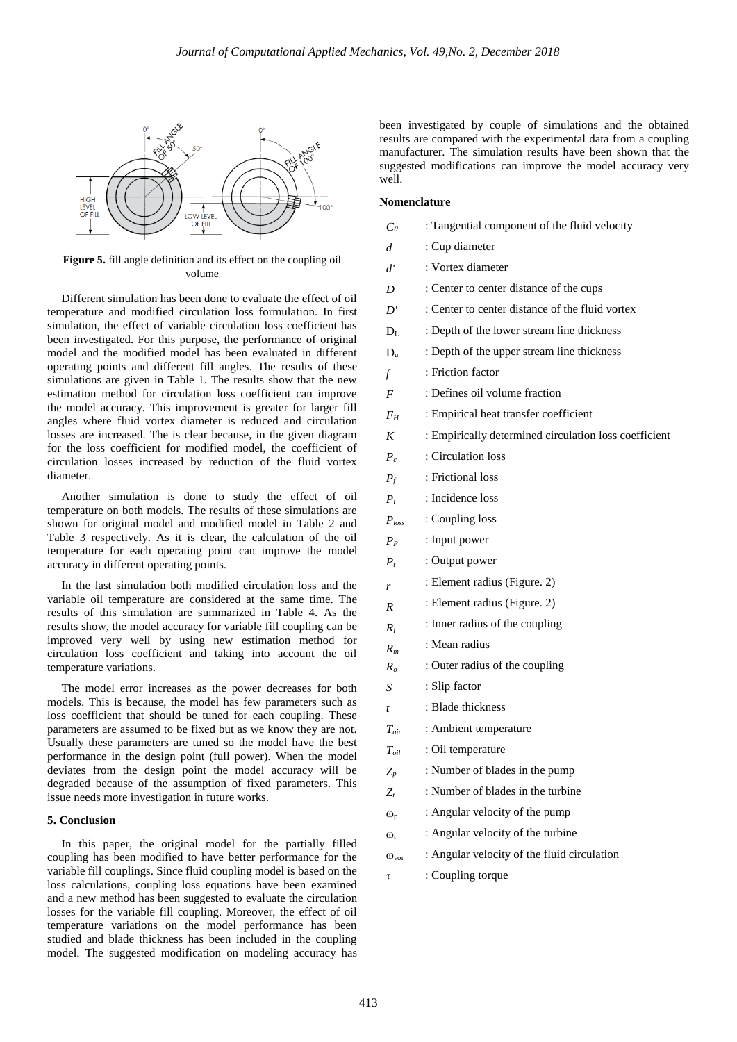

**Figure 5.** fill angle definition and its effect on the coupling oil volume

Different simulation has been done to evaluate the effect of oil temperature and modified circulation loss formulation. In first simulation, the effect of variable circulation loss coefficient has been investigated. For this purpose, the performance of original model and the modified model has been evaluated in different operating points and different fill angles. The results of these simulations are given in Table 1. The results show that the new estimation method for circulation loss coefficient can improve the model accuracy. This improvement is greater for larger fill angles where fluid vortex diameter is reduced and circulation losses are increased. The is clear because, in the given diagram for the loss coefficient for modified model, the coefficient of circulation losses increased by reduction of the fluid vortex diameter.

Another simulation is done to study the effect of oil temperature on both models. The results of these simulations are shown for original model and modified model in Table 2 and Table 3 respectively. As it is clear, the calculation of the oil temperature for each operating point can improve the model accuracy in different operating points.

In the last simulation both modified circulation loss and the variable oil temperature are considered at the same time. The results of this simulation are summarized in Table 4. As the results show, the model accuracy for variable fill coupling can be improved very well by using new estimation method for circulation loss coefficient and taking into account the oil temperature variations.

The model error increases as the power decreases for both models. This is because, the model has few parameters such as loss coefficient that should be tuned for each coupling. These parameters are assumed to be fixed but as we know they are not. Usually these parameters are tuned so the model have the best performance in the design point (full power). When the model deviates from the design point the model accuracy will be degraded because of the assumption of fixed parameters. This issue needs more investigation in future works.

#### **5. Conclusion**

In this paper, the original model for the partially filled coupling has been modified to have better performance for the variable fill couplings. Since fluid coupling model is based on the loss calculations, coupling loss equations have been examined and a new method has been suggested to evaluate the circulation losses for the variable fill coupling. Moreover, the effect of oil temperature variations on the model performance has been studied and blade thickness has been included in the coupling model. The suggested modification on modeling accuracy has

been investigated by couple of simulations and the obtained results are compared with the experimental data from a coupling manufacturer. The simulation results have been shown that the suggested modifications can improve the model accuracy very well.

#### **Nomenclature**

- *Cθ* : Tangential component of the fluid velocity
- *d* : Cup diameter
- *d'* : Vortex diameter
- *D* : Center to center distance of the cups
- *D'* : Center to center distance of the fluid vortex
- $D<sub>L</sub>$ : Depth of the lower stream line thickness
- D<sub>u</sub> : Depth of the upper stream line thickness
- *f* : Friction factor
- *F* : Defines oil volume fraction
- $F_H$  : Empirical heat transfer coefficient
- *K* : Empirically determined circulation loss coefficient
- *P<sub>c</sub>* : Circulation loss
- *Pf* : Frictional loss
- *Pi* : Incidence loss
- *Ploss* : Coupling loss
- *PP* : Input power
- *Pt* : Output power

*r*

*R*

- : Element radius (Figure. 2)
- : Element radius (Figure. 2)
- *Ri* : Inner radius of the coupling
- *R<sup>m</sup>* : Mean radius
- *Ro* : Outer radius of the coupling
- *S* : Slip factor
- *t* : Blade thickness
- *Tair* : Ambient temperature
- *Toil* : Oil temperature
- *Zp* : Number of blades in the pump
- *Zt* : Number of blades in the turbine
- $\omega_{p}$ : Angular velocity of the pump
- $\omega_{t}$ : Angular velocity of the turbine
- $\omega_{\text{vor}}$  : Angular velocity of the fluid circulation
- $\tau$  : Coupling torque